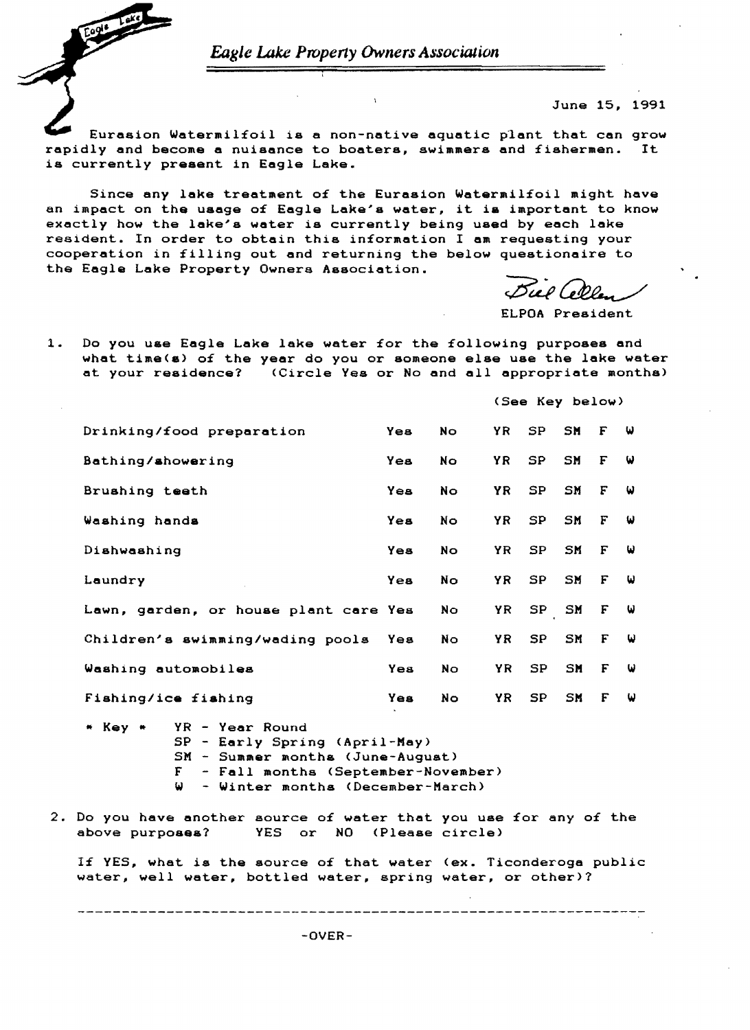Eagle Lake Property Owners Association

June 15. 1991

Eurasion Watermilfoil is a non-native aquatic plant that can grow rapidly and become a nuisance to boaters, swimmers and fishermen. It is currently present in Eagle Lake.

Since any lake treatment of the Eurasion Watermilfoil might have an impact on the usage of Eagle Lake's water, it is important to know exactly how the lake's water is currently being used by each lake resident. In order to obtain this information I am requesting your cooperation in filling out and returning the below questionaire to the Eagle Lake Property Owners Association.

Biel Colla

ELPOA President

 $1.$ Do you use Eagle Lake lake water for the following purposes and what time(s) of the year do you or someone else use the lake water at your residence? (Circle Yes or No and all appropriate months)

(See Key below) Drinking/food preparation **No**  $SP$ SM Yes YR. F ω Bathing/showering Yes **No** YR **N** SP. **SM** F  $\omega$ Brushing teeth Yes **No** YR SP SM F ω Washing hands **YR**  $SP$ SM F Yes **No** ω Dishwashing Yes  $No$ YR SP SM  $\mathbf{F}$ ω Yes YR SP SM  $\mathbf{F}$ Laundry **No** ω  $SP$ SM Lawn, garden, or house plant care Yes **No** YR F ω Children's swimming/wading pools Yes **No** YR **SP** SM F ω Washing automobiles **YR SP** Yes **No**  $SM$   $F$  $\omega$ Fishing/ice fishing Yes No. YR  $SP$ SM F W

YR - Year Round \* Key \* SP - Early Spring (April-May) SM - Summer months (June-August) F - Fall months (September-November) W - Winter months (December-March)

2. Do you have another source of water that you use for any of the above purposes? YES or NO (Please circle)

If YES, what is the source of that water (ex. Ticonderoga public water, well water, bottled water, spring water, or other)?